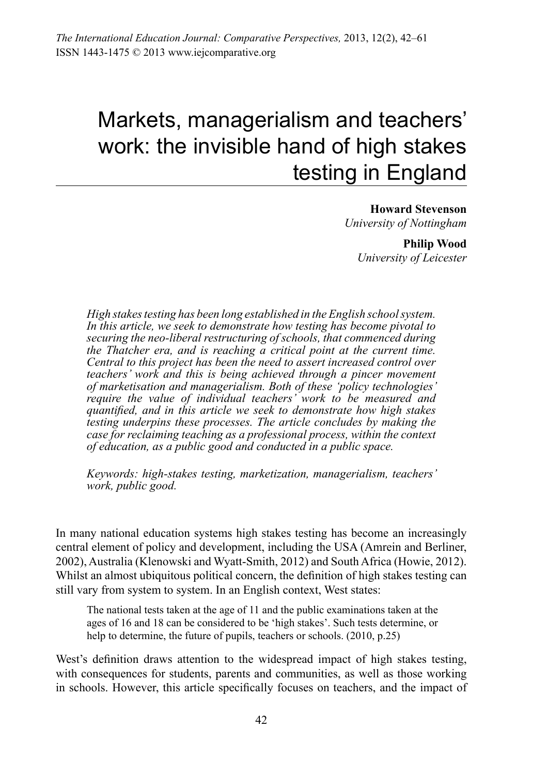# Markets, managerialism and teachers' work: the invisible hand of high stakes testing in England

**Howard Stevenson** *University of Nottingham* 

> **Philip Wood** *University of Leicester*

*High stakes testing has been long established in the English school system. In this article, we seek to demonstrate how testing has become pivotal to securing the neo-liberal restructuring of schools, that commenced during the Thatcher era, and is reaching a critical point at the current time. Central to this project has been the need to assert increased control over teachers' work and this is being achieved through a pincer movement of marketisation and managerialism. Both of these 'policy technologies' require the value of individual teachers' work to be measured and quantified, and in this article we seek to demonstrate how high stakes testing underpins these processes. The article concludes by making the case for reclaiming teaching as a professional process, within the context of education, as a public good and conducted in a public space.*

*Keywords: high-stakes testing, marketization, managerialism, teachers' work, public good.*

In many national education systems high stakes testing has become an increasingly central element of policy and development, including the USA (Amrein and Berliner, 2002), Australia (Klenowski and Wyatt-Smith, 2012) and South Africa (Howie, 2012). Whilst an almost ubiquitous political concern, the definition of high stakes testing can still vary from system to system. In an English context, West states:

The national tests taken at the age of 11 and the public examinations taken at the ages of 16 and 18 can be considered to be 'high stakes'. Such tests determine, or help to determine, the future of pupils, teachers or schools. (2010, p.25)

West's definition draws attention to the widespread impact of high stakes testing, with consequences for students, parents and communities, as well as those working in schools. However, this article specifically focuses on teachers, and the impact of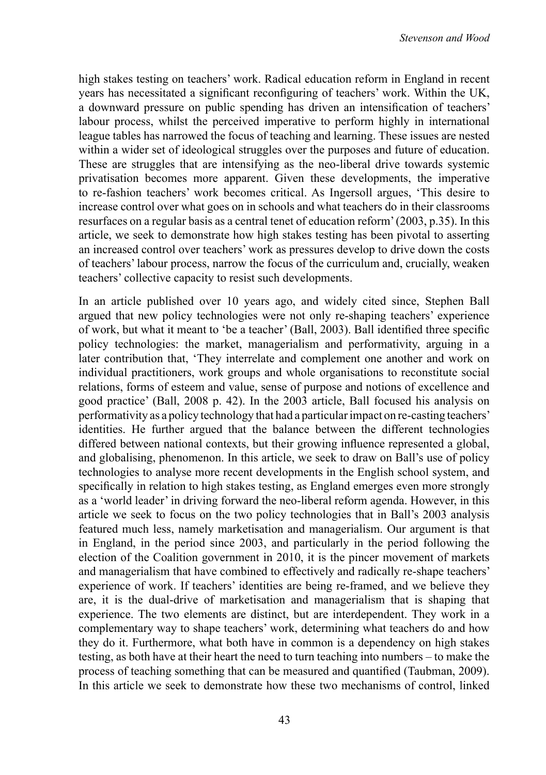high stakes testing on teachers' work. Radical education reform in England in recent years has necessitated a significant reconfiguring of teachers' work. Within the UK, a downward pressure on public spending has driven an intensification of teachers' labour process, whilst the perceived imperative to perform highly in international league tables has narrowed the focus of teaching and learning. These issues are nested within a wider set of ideological struggles over the purposes and future of education. These are struggles that are intensifying as the neo-liberal drive towards systemic privatisation becomes more apparent. Given these developments, the imperative to re-fashion teachers' work becomes critical. As Ingersoll argues, 'This desire to increase control over what goes on in schools and what teachers do in their classrooms resurfaces on a regular basis as a central tenet of education reform'(2003, p.35). In this article, we seek to demonstrate how high stakes testing has been pivotal to asserting an increased control over teachers' work as pressures develop to drive down the costs of teachers' labour process, narrow the focus of the curriculum and, crucially, weaken teachers' collective capacity to resist such developments.

In an article published over 10 years ago, and widely cited since, Stephen Ball argued that new policy technologies were not only re-shaping teachers' experience of work, but what it meant to 'be a teacher' (Ball, 2003). Ball identified three specific policy technologies: the market, managerialism and performativity, arguing in a later contribution that, 'They interrelate and complement one another and work on individual practitioners, work groups and whole organisations to reconstitute social relations, forms of esteem and value, sense of purpose and notions of excellence and good practice' (Ball, 2008 p. 42). In the 2003 article, Ball focused his analysis on performativity as a policy technology that had a particularimpact on re-casting teachers' identities. He further argued that the balance between the different technologies differed between national contexts, but their growing influence represented a global, and globalising, phenomenon. In this article, we seek to draw on Ball's use of policy technologies to analyse more recent developments in the English school system, and specifically in relation to high stakes testing, as England emerges even more strongly as a 'world leader' in driving forward the neo-liberal reform agenda. However, in this article we seek to focus on the two policy technologies that in Ball's 2003 analysis featured much less, namely marketisation and managerialism. Our argument is that in England, in the period since 2003, and particularly in the period following the election of the Coalition government in 2010, it is the pincer movement of markets and managerialism that have combined to effectively and radically re-shape teachers' experience of work. If teachers' identities are being re-framed, and we believe they are, it is the dual-drive of marketisation and managerialism that is shaping that experience. The two elements are distinct, but are interdependent. They work in a complementary way to shape teachers' work, determining what teachers do and how they do it. Furthermore, what both have in common is a dependency on high stakes testing, as both have at their heart the need to turn teaching into numbers – to make the process of teaching something that can be measured and quantified (Taubman, 2009). In this article we seek to demonstrate how these two mechanisms of control, linked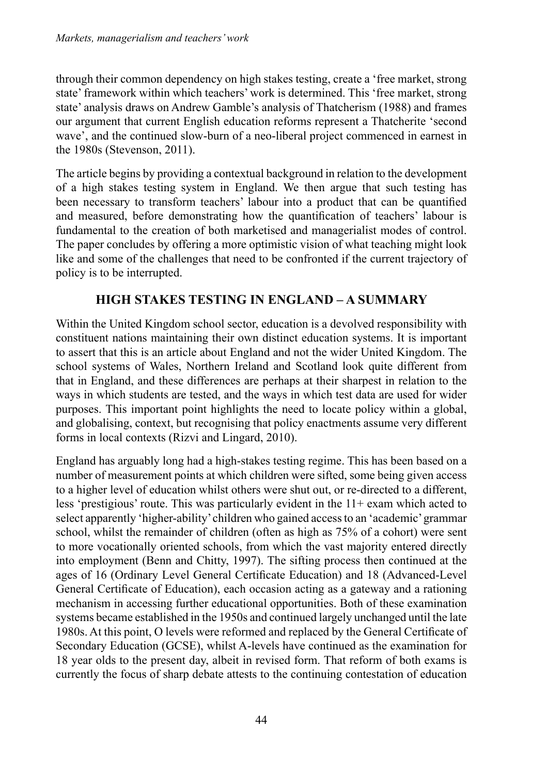through their common dependency on high stakes testing, create a 'free market, strong state'framework within which teachers' work is determined. This 'free market, strong state' analysis draws on Andrew Gamble's analysis of Thatcherism (1988) and frames our argument that current English education reforms represent a Thatcherite 'second wave', and the continued slow-burn of a neo-liberal project commenced in earnest in the 1980s (Stevenson, 2011).

The article begins by providing a contextual background in relation to the development of a high stakes testing system in England. We then argue that such testing has been necessary to transform teachers' labour into a product that can be quantified and measured, before demonstrating how the quantification of teachers' labour is fundamental to the creation of both marketised and managerialist modes of control. The paper concludes by offering a more optimistic vision of what teaching might look like and some of the challenges that need to be confronted if the current trajectory of policy is to be interrupted.

## **High stakes testing in England – a summary**

Within the United Kingdom school sector, education is a devolved responsibility with constituent nations maintaining their own distinct education systems. It is important to assert that this is an article about England and not the wider United Kingdom. The school systems of Wales, Northern Ireland and Scotland look quite different from that in England, and these differences are perhaps at their sharpest in relation to the ways in which students are tested, and the ways in which test data are used for wider purposes. This important point highlights the need to locate policy within a global, and globalising, context, but recognising that policy enactments assume very different forms in local contexts (Rizvi and Lingard, 2010).

England has arguably long had a high-stakes testing regime. This has been based on a number of measurement points at which children were sifted, some being given access to a higher level of education whilst others were shut out, or re-directed to a different, less 'prestigious' route. This was particularly evident in the 11+ exam which acted to select apparently 'higher-ability'children who gained accessto an 'academic'grammar school, whilst the remainder of children (often as high as 75% of a cohort) were sent to more vocationally oriented schools, from which the vast majority entered directly into employment (Benn and Chitty, 1997). The sifting process then continued at the ages of 16 (Ordinary Level General Certificate Education) and 18 (Advanced-Level General Certificate of Education), each occasion acting as a gateway and a rationing mechanism in accessing further educational opportunities. Both of these examination systems became established in the 1950s and continued largely unchanged until the late 1980s. At this point, O levels were reformed and replaced by the General Certificate of Secondary Education (GCSE), whilst A-levels have continued as the examination for 18 year olds to the present day, albeit in revised form. That reform of both exams is currently the focus of sharp debate attests to the continuing contestation of education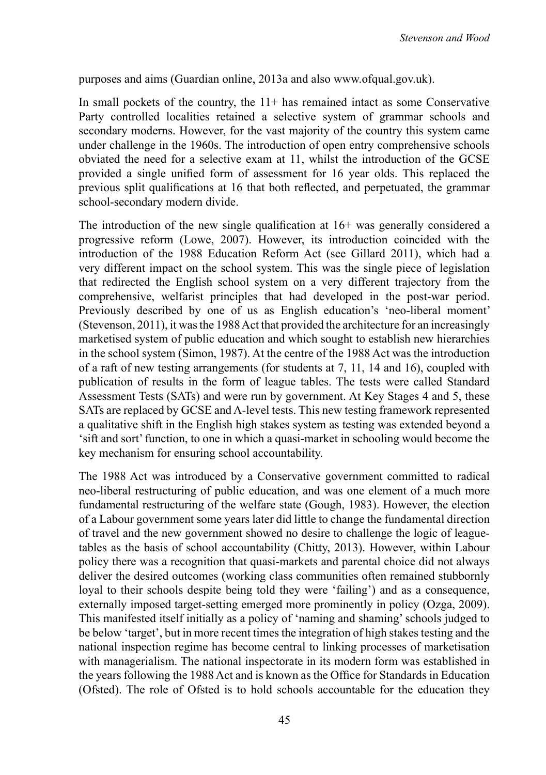purposes and aims (Guardian online, 2013a and also www.ofqual.gov.uk).

In small pockets of the country, the  $11+$  has remained intact as some Conservative Party controlled localities retained a selective system of grammar schools and secondary moderns. However, for the vast majority of the country this system came under challenge in the 1960s. The introduction of open entry comprehensive schools obviated the need for a selective exam at 11, whilst the introduction of the GCSE provided a single unified form of assessment for 16 year olds. This replaced the previous split qualifications at 16 that both reflected, and perpetuated, the grammar school-secondary modern divide.

The introduction of the new single qualification at 16+ was generally considered a progressive reform (Lowe, 2007). However, its introduction coincided with the introduction of the 1988 Education Reform Act (see Gillard 2011), which had a very different impact on the school system. This was the single piece of legislation that redirected the English school system on a very different trajectory from the comprehensive, welfarist principles that had developed in the post-war period. Previously described by one of us as English education's 'neo-liberal moment' (Stevenson, 2011), it wasthe 1988Act that provided the architecture for an increasingly marketised system of public education and which sought to establish new hierarchies in the school system (Simon, 1987). At the centre of the 1988 Act was the introduction of a raft of new testing arrangements (for students at 7, 11, 14 and 16), coupled with publication of results in the form of league tables. The tests were called Standard Assessment Tests (SATs) and were run by government. At Key Stages 4 and 5, these SATs are replaced by GCSE and A-level tests. This new testing framework represented a qualitative shift in the English high stakes system as testing was extended beyond a 'sift and sort'function, to one in which a quasi-market in schooling would become the key mechanism for ensuring school accountability.

The 1988 Act was introduced by a Conservative government committed to radical neo-liberal restructuring of public education, and was one element of a much more fundamental restructuring of the welfare state (Gough, 1983). However, the election of a Labour government some years later did little to change the fundamental direction of travel and the new government showed no desire to challenge the logic of leaguetables as the basis of school accountability (Chitty, 2013). However, within Labour policy there was a recognition that quasi-markets and parental choice did not always deliver the desired outcomes (working class communities often remained stubbornly loyal to their schools despite being told they were 'failing') and as a consequence, externally imposed target-setting emerged more prominently in policy (Ozga, 2009). This manifested itself initially as a policy of 'naming and shaming'schools judged to be below 'target', but in more recent times the integration of high stakes testing and the national inspection regime has become central to linking processes of marketisation with managerialism. The national inspectorate in its modern form was established in the years following the 1988 Act and is known as the Office for Standards in Education (Ofsted). The role of Ofsted is to hold schools accountable for the education they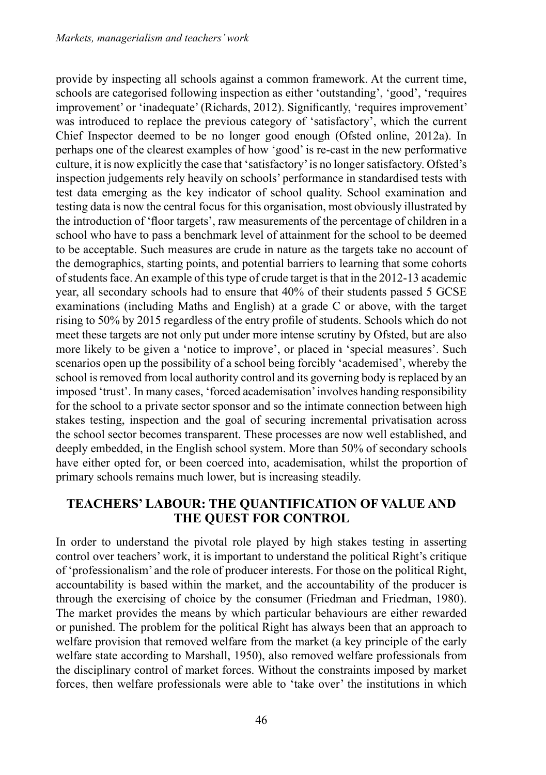provide by inspecting all schools against a common framework. At the current time, schools are categorised following inspection as either 'outstanding', 'good', 'requires improvement' or 'inadequate'(Richards, 2012). Significantly, 'requires improvement' was introduced to replace the previous category of 'satisfactory', which the current Chief Inspector deemed to be no longer good enough (Ofsted online, 2012a). In perhaps one of the clearest examples of how 'good' is re-cast in the new performative culture, it is now explicitly the case that 'satisfactory' is no longer satisfactory. Ofsted's inspection judgements rely heavily on schools' performance in standardised tests with test data emerging as the key indicator of school quality. School examination and testing data is now the central focus for this organisation, most obviously illustrated by the introduction of 'floor targets', raw measurements of the percentage of children in a school who have to pass a benchmark level of attainment for the school to be deemed to be acceptable. Such measures are crude in nature as the targets take no account of the demographics, starting points, and potential barriers to learning that some cohorts of students face. An example of this type of crude target is that in the 2012-13 academic year, all secondary schools had to ensure that 40% of their students passed 5 GCSE examinations (including Maths and English) at a grade C or above, with the target rising to 50% by 2015 regardless of the entry profile of students. Schools which do not meet these targets are not only put under more intense scrutiny by Ofsted, but are also more likely to be given a 'notice to improve', or placed in 'special measures'. Such scenarios open up the possibility of a school being forcibly 'academised', whereby the school is removed from local authority control and its governing body is replaced by an imposed 'trust'. In many cases, 'forced academisation'involves handing responsibility for the school to a private sector sponsor and so the intimate connection between high stakes testing, inspection and the goal of securing incremental privatisation across the school sector becomes transparent. These processes are now well established, and deeply embedded, in the English school system. More than 50% of secondary schools have either opted for, or been coerced into, academisation, whilst the proportion of primary schools remains much lower, but is increasing steadily.

### **Teachers' labour: the quantification of value and the quest for control**

In order to understand the pivotal role played by high stakes testing in asserting control over teachers' work, it is important to understand the political Right's critique of 'professionalism' and the role of producer interests. For those on the political Right, accountability is based within the market, and the accountability of the producer is through the exercising of choice by the consumer (Friedman and Friedman, 1980). The market provides the means by which particular behaviours are either rewarded or punished. The problem for the political Right has always been that an approach to welfare provision that removed welfare from the market (a key principle of the early welfare state according to Marshall, 1950), also removed welfare professionals from the disciplinary control of market forces. Without the constraints imposed by market forces, then welfare professionals were able to 'take over' the institutions in which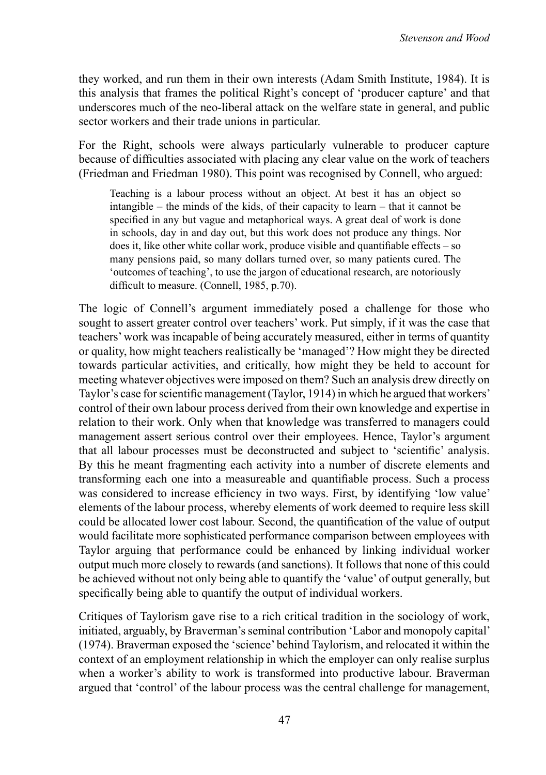they worked, and run them in their own interests (Adam Smith Institute, 1984). It is this analysis that frames the political Right's concept of 'producer capture' and that underscores much of the neo-liberal attack on the welfare state in general, and public sector workers and their trade unions in particular.

For the Right, schools were always particularly vulnerable to producer capture because of difficulties associated with placing any clear value on the work of teachers (Friedman and Friedman 1980). This point was recognised by Connell, who argued:

Teaching is a labour process without an object. At best it has an object so intangible – the minds of the kids, of their capacity to learn – that it cannot be specified in any but vague and metaphorical ways. A great deal of work is done in schools, day in and day out, but this work does not produce any things. Nor does it, like other white collar work, produce visible and quantifiable effects – so many pensions paid, so many dollars turned over, so many patients cured. The 'outcomes of teaching', to use the jargon of educational research, are notoriously difficult to measure. (Connell, 1985, p.70).

The logic of Connell's argument immediately posed a challenge for those who sought to assert greater control over teachers' work. Put simply, if it was the case that teachers'work was incapable of being accurately measured, either in terms of quantity or quality, how might teachers realistically be 'managed'? How might they be directed towards particular activities, and critically, how might they be held to account for meeting whatever objectives were imposed on them? Such an analysis drew directly on Taylor's case for scientific management (Taylor, 1914) in which he argued that workers' control of their own labour process derived from their own knowledge and expertise in relation to their work. Only when that knowledge was transferred to managers could management assert serious control over their employees. Hence, Taylor's argument that all labour processes must be deconstructed and subject to 'scientific' analysis. By this he meant fragmenting each activity into a number of discrete elements and transforming each one into a measureable and quantifiable process. Such a process was considered to increase efficiency in two ways. First, by identifying 'low value' elements of the labour process, whereby elements of work deemed to require less skill could be allocated lower cost labour. Second, the quantification of the value of output would facilitate more sophisticated performance comparison between employees with Taylor arguing that performance could be enhanced by linking individual worker output much more closely to rewards (and sanctions). It follows that none of this could be achieved without not only being able to quantify the 'value' of output generally, but specifically being able to quantify the output of individual workers.

Critiques of Taylorism gave rise to a rich critical tradition in the sociology of work, initiated, arguably, by Braverman'sseminal contribution 'Labor and monopoly capital' (1974). Braverman exposed the 'science' behind Taylorism, and relocated it within the context of an employment relationship in which the employer can only realise surplus when a worker's ability to work is transformed into productive labour. Braverman argued that 'control' of the labour process was the central challenge for management,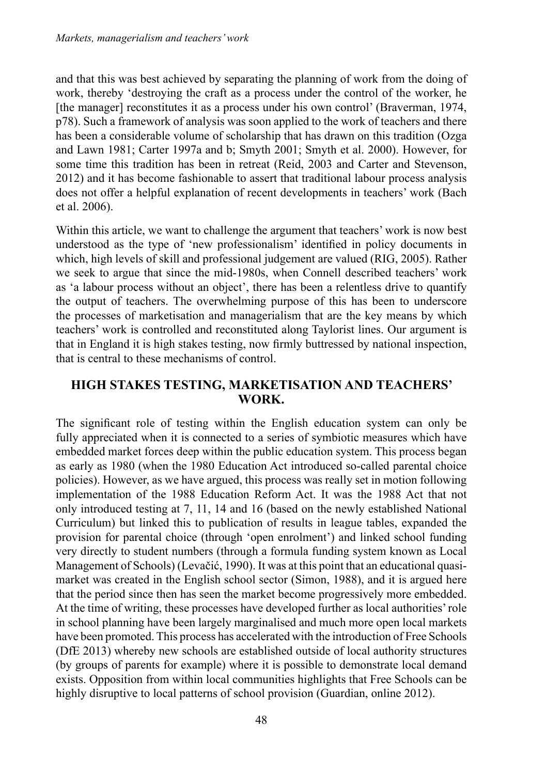and that this was best achieved by separating the planning of work from the doing of work, thereby 'destroying the craft as a process under the control of the worker, he [the manager] reconstitutes it as a process under his own control' (Braverman, 1974, p78). Such a framework of analysis was soon applied to the work of teachers and there has been a considerable volume of scholarship that has drawn on this tradition (Ozga and Lawn 1981; Carter 1997a and b; Smyth 2001; Smyth et al. 2000). However, for some time this tradition has been in retreat (Reid, 2003 and Carter and Stevenson, 2012) and it has become fashionable to assert that traditional labour process analysis does not offer a helpful explanation of recent developments in teachers' work (Bach et al. 2006).

Within this article, we want to challenge the argument that teachers' work is now best understood as the type of 'new professionalism' identified in policy documents in which, high levels of skill and professional judgement are valued (RIG, 2005). Rather we seek to argue that since the mid-1980s, when Connell described teachers' work as 'a labour process without an object', there has been a relentless drive to quantify the output of teachers. The overwhelming purpose of this has been to underscore the processes of marketisation and managerialism that are the key means by which teachers' work is controlled and reconstituted along Taylorist lines. Our argument is that in England it is high stakes testing, now firmly buttressed by national inspection, that is central to these mechanisms of control.

#### **High stakes testing, marketisation and teachers' work.**

The significant role of testing within the English education system can only be fully appreciated when it is connected to a series of symbiotic measures which have embedded market forces deep within the public education system. This process began as early as 1980 (when the 1980 Education Act introduced so-called parental choice policies). However, as we have argued, this process was really set in motion following implementation of the 1988 Education Reform Act. It was the 1988 Act that not only introduced testing at 7, 11, 14 and 16 (based on the newly established National Curriculum) but linked this to publication of results in league tables, expanded the provision for parental choice (through 'open enrolment') and linked school funding very directly to student numbers (through a formula funding system known as Local Management of Schools) (Levačić, 1990). It was at this point that an educational quasimarket was created in the English school sector (Simon, 1988), and it is argued here that the period since then has seen the market become progressively more embedded. At the time of writing, these processes have developed further as local authorities'role in school planning have been largely marginalised and much more open local markets have been promoted. This process has accelerated with the introduction of Free Schools (DfE 2013) whereby new schools are established outside of local authority structures (by groups of parents for example) where it is possible to demonstrate local demand exists. Opposition from within local communities highlights that Free Schools can be highly disruptive to local patterns of school provision (Guardian, online 2012).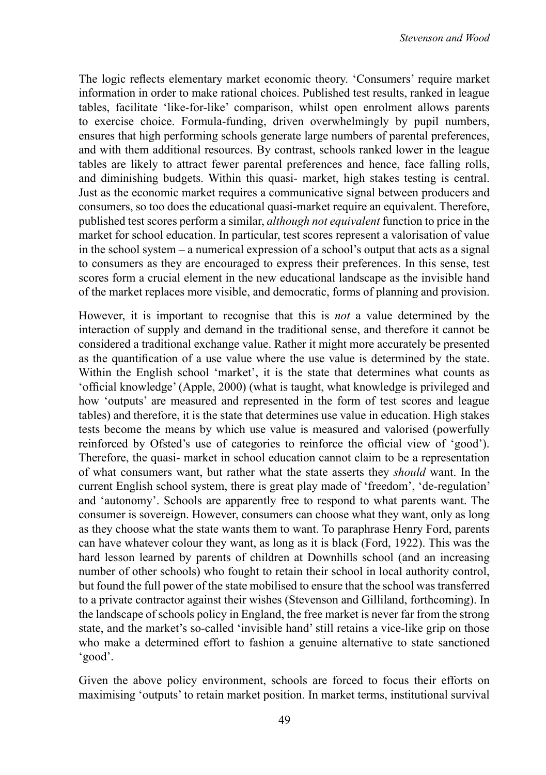The logic reflects elementary market economic theory. 'Consumers' require market information in order to make rational choices. Published test results, ranked in league tables, facilitate 'like-for-like' comparison, whilst open enrolment allows parents to exercise choice. Formula-funding, driven overwhelmingly by pupil numbers, ensures that high performing schools generate large numbers of parental preferences, and with them additional resources. By contrast, schools ranked lower in the league tables are likely to attract fewer parental preferences and hence, face falling rolls, and diminishing budgets. Within this quasi- market, high stakes testing is central. Just as the economic market requires a communicative signal between producers and consumers, so too does the educational quasi-market require an equivalent. Therefore, published test scores perform a similar, *although not equivalent* function to price in the market for school education. In particular, test scores represent a valorisation of value in the school system – a numerical expression of a school's output that acts as a signal to consumers as they are encouraged to express their preferences. In this sense, test scores form a crucial element in the new educational landscape as the invisible hand of the market replaces more visible, and democratic, forms of planning and provision.

However, it is important to recognise that this is *not* a value determined by the interaction of supply and demand in the traditional sense, and therefore it cannot be considered a traditional exchange value. Rather it might more accurately be presented as the quantification of a use value where the use value is determined by the state. Within the English school 'market', it is the state that determines what counts as 'official knowledge' (Apple, 2000) (what is taught, what knowledge is privileged and how 'outputs' are measured and represented in the form of test scores and league tables) and therefore, it is the state that determines use value in education. High stakes tests become the means by which use value is measured and valorised (powerfully reinforced by Ofsted's use of categories to reinforce the official view of 'good'). Therefore, the quasi- market in school education cannot claim to be a representation of what consumers want, but rather what the state asserts they *should* want. In the current English school system, there is great play made of 'freedom', 'de-regulation' and 'autonomy'. Schools are apparently free to respond to what parents want. The consumer is sovereign. However, consumers can choose what they want, only as long as they choose what the state wants them to want. To paraphrase Henry Ford, parents can have whatever colour they want, as long as it is black (Ford, 1922). This was the hard lesson learned by parents of children at Downhills school (and an increasing number of other schools) who fought to retain their school in local authority control, but found the full power of the state mobilised to ensure that the school was transferred to a private contractor against their wishes (Stevenson and Gilliland, forthcoming). In the landscape of schools policy in England, the free market is never far from the strong state, and the market's so-called 'invisible hand' still retains a vice-like grip on those who make a determined effort to fashion a genuine alternative to state sanctioned 'good'.

Given the above policy environment, schools are forced to focus their efforts on maximising 'outputs' to retain market position. In market terms, institutional survival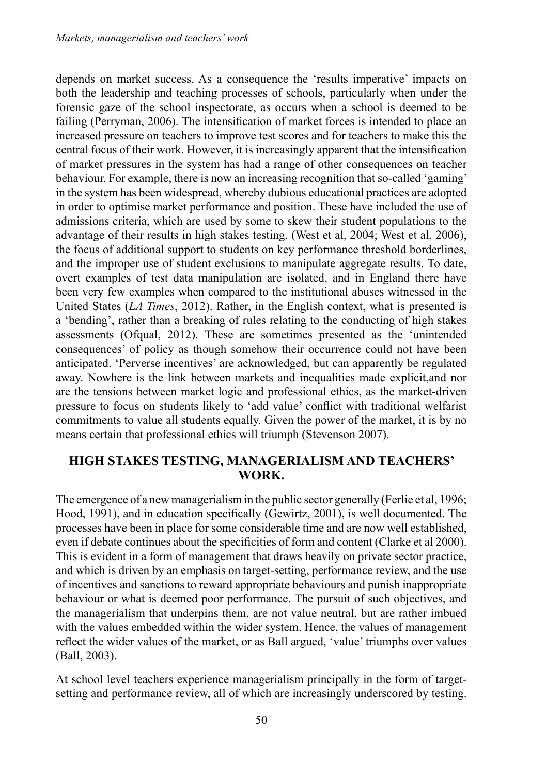depends on market success. As a consequence the 'results imperative' impacts on both the leadership and teaching processes of schools, particularly when under the forensic gaze of the school inspectorate, as occurs when a school is deemed to be failing (Perryman, 2006). The intensification of market forces is intended to place an increased pressure on teachers to improve test scores and for teachers to make this the central focus of their work. However, it is increasingly apparent that the intensification of market pressures in the system has had a range of other consequences on teacher behaviour. For example, there is now an increasing recognition that so-called 'gaming' in the system has been widespread, whereby dubious educational practices are adopted in order to optimise market performance and position. These have included the use of admissions criteria, which are used by some to skew their student populations to the advantage of their results in high stakes testing, (West et al, 2004; West et al, 2006), the focus of additional support to students on key performance threshold borderlines, and the improper use of student exclusions to manipulate aggregate results. To date, overt examples of test data manipulation are isolated, and in England there have been very few examples when compared to the institutional abuses witnessed in the United States (*LA Times*, 2012). Rather, in the English context, what is presented is a 'bending', rather than a breaking of rules relating to the conducting of high stakes assessments (Ofqual, 2012). These are sometimes presented as the 'unintended consequences' of policy as though somehow their occurrence could not have been anticipated. 'Perverse incentives' are acknowledged, but can apparently be regulated away. Nowhere is the link between markets and inequalities made explicit,and nor are the tensions between market logic and professional ethics, as the market-driven pressure to focus on students likely to 'add value' conflict with traditional welfarist commitments to value all students equally. Given the power of the market, it is by no means certain that professional ethics will triumph (Stevenson 2007).

### **High stakes testing, managerialism and teachers' work.**

The emergence of a new managerialism in the public sector generally (Ferlie et al, 1996; Hood, 1991), and in education specifically (Gewirtz, 2001), is well documented. The processes have been in place for some considerable time and are now well established, even if debate continues about the specificities of form and content (Clarke et al 2000). This is evident in a form of management that draws heavily on private sector practice, and which is driven by an emphasis on target-setting, performance review, and the use of incentives and sanctions to reward appropriate behaviours and punish inappropriate behaviour or what is deemed poor performance. The pursuit of such objectives, and the managerialism that underpins them, are not value neutral, but are rather imbued with the values embedded within the wider system. Hence, the values of management reflect the wider values of the market, or as Ball argued, 'value' triumphs over values (Ball, 2003).

At school level teachers experience managerialism principally in the form of targetsetting and performance review, all of which are increasingly underscored by testing.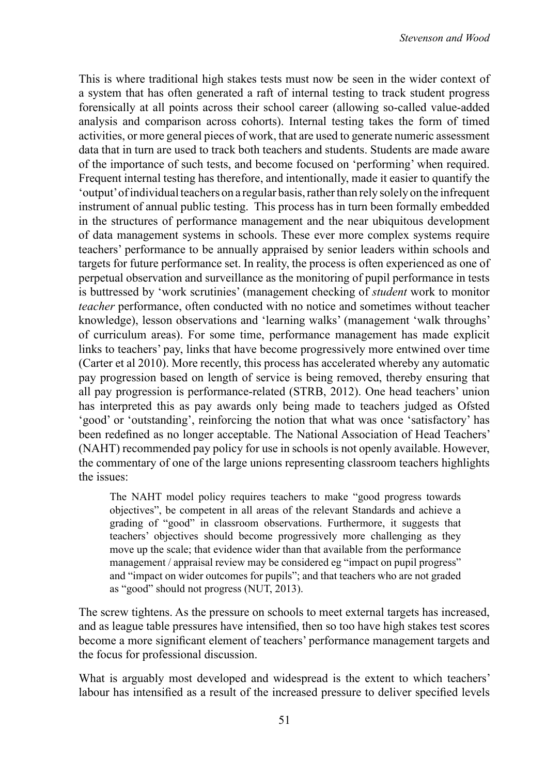This is where traditional high stakes tests must now be seen in the wider context of a system that has often generated a raft of internal testing to track student progress forensically at all points across their school career (allowing so-called value-added analysis and comparison across cohorts). Internal testing takes the form of timed activities, or more general pieces of work, that are used to generate numeric assessment data that in turn are used to track both teachers and students. Students are made aware of the importance of such tests, and become focused on 'performing' when required. Frequent internal testing has therefore, and intentionally, made it easier to quantify the 'output'ofindividual teachers on a regular basis,ratherthan rely solely on the infrequent instrument of annual public testing. This process has in turn been formally embedded in the structures of performance management and the near ubiquitous development of data management systems in schools. These ever more complex systems require teachers' performance to be annually appraised by senior leaders within schools and targets for future performance set. In reality, the process is often experienced as one of perpetual observation and surveillance as the monitoring of pupil performance in tests is buttressed by 'work scrutinies' (management checking of *student* work to monitor *teacher* performance, often conducted with no notice and sometimes without teacher knowledge), lesson observations and 'learning walks' (management 'walk throughs' of curriculum areas). For some time, performance management has made explicit links to teachers' pay, links that have become progressively more entwined over time (Carter et al 2010). More recently, this process has accelerated whereby any automatic pay progression based on length of service is being removed, thereby ensuring that all pay progression is performance-related (STRB, 2012). One head teachers' union has interpreted this as pay awards only being made to teachers judged as Ofsted 'good' or 'outstanding', reinforcing the notion that what was once 'satisfactory' has been redefined as no longer acceptable. The National Association of Head Teachers' (NAHT) recommended pay policy for use in schools is not openly available. However, the commentary of one of the large unions representing classroom teachers highlights the issues:

The NAHT model policy requires teachers to make "good progress towards objectives", be competent in all areas of the relevant Standards and achieve a grading of "good" in classroom observations. Furthermore, it suggests that teachers' objectives should become progressively more challenging as they move up the scale; that evidence wider than that available from the performance management / appraisal review may be considered eg "impact on pupil progress" and "impact on wider outcomes for pupils"; and that teachers who are not graded as "good" should not progress (NUT, 2013).

The screw tightens. As the pressure on schools to meet external targets has increased, and as league table pressures have intensified, then so too have high stakes test scores become a more significant element of teachers' performance management targets and the focus for professional discussion.

What is arguably most developed and widespread is the extent to which teachers' labour has intensified as a result of the increased pressure to deliver specified levels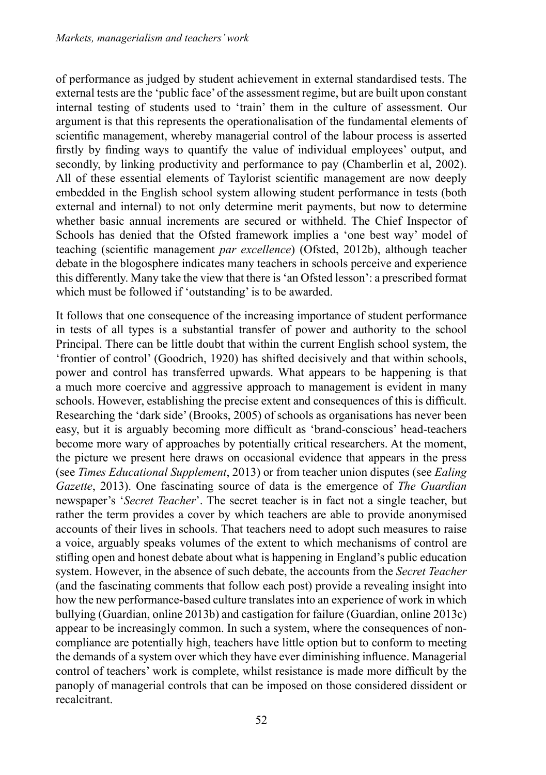of performance as judged by student achievement in external standardised tests. The external tests are the 'public face'of the assessment regime, but are built upon constant internal testing of students used to 'train' them in the culture of assessment. Our argument is that this represents the operationalisation of the fundamental elements of scientific management, whereby managerial control of the labour process is asserted firstly by finding ways to quantify the value of individual employees' output, and secondly, by linking productivity and performance to pay (Chamberlin et al, 2002). All of these essential elements of Taylorist scientific management are now deeply embedded in the English school system allowing student performance in tests (both external and internal) to not only determine merit payments, but now to determine whether basic annual increments are secured or withheld. The Chief Inspector of Schools has denied that the Ofsted framework implies a 'one best way' model of teaching (scientific management *par excellence*) (Ofsted, 2012b), although teacher debate in the blogosphere indicates many teachers in schools perceive and experience this differently. Many take the view that there is'an Ofsted lesson': a prescribed format which must be followed if 'outstanding' is to be awarded.

It follows that one consequence of the increasing importance of student performance in tests of all types is a substantial transfer of power and authority to the school Principal. There can be little doubt that within the current English school system, the 'frontier of control' (Goodrich, 1920) has shifted decisively and that within schools, power and control has transferred upwards. What appears to be happening is that a much more coercive and aggressive approach to management is evident in many schools. However, establishing the precise extent and consequences of this is difficult. Researching the 'dark side'(Brooks, 2005) of schools as organisations has never been easy, but it is arguably becoming more difficult as 'brand-conscious' head-teachers become more wary of approaches by potentially critical researchers. At the moment, the picture we present here draws on occasional evidence that appears in the press (see *Times Educational Supplement*, 2013) or from teacher union disputes (see *Ealing Gazette*, 2013). One fascinating source of data is the emergence of *The Guardian* newspaper's '*Secret Teacher*'. The secret teacher is in fact not a single teacher, but rather the term provides a cover by which teachers are able to provide anonymised accounts of their lives in schools. That teachers need to adopt such measures to raise a voice, arguably speaks volumes of the extent to which mechanisms of control are stifling open and honest debate about what is happening in England's public education system. However, in the absence of such debate, the accounts from the *Secret Teacher* (and the fascinating comments that follow each post) provide a revealing insight into how the new performance-based culture translates into an experience of work in which bullying (Guardian, online 2013b) and castigation for failure (Guardian, online 2013c) appear to be increasingly common. In such a system, where the consequences of noncompliance are potentially high, teachers have little option but to conform to meeting the demands of a system over which they have ever diminishing influence. Managerial control of teachers' work is complete, whilst resistance is made more difficult by the panoply of managerial controls that can be imposed on those considered dissident or recalcitrant.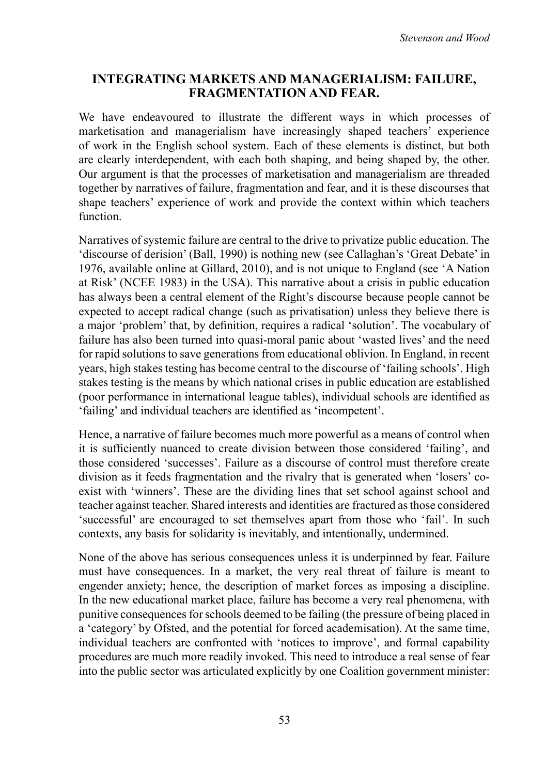### **Integrating markets and managerialism: failure, fragmentation and fear.**

We have endeavoured to illustrate the different ways in which processes of marketisation and managerialism have increasingly shaped teachers' experience of work in the English school system. Each of these elements is distinct, but both are clearly interdependent, with each both shaping, and being shaped by, the other. Our argument is that the processes of marketisation and managerialism are threaded together by narratives of failure, fragmentation and fear, and it is these discourses that shape teachers' experience of work and provide the context within which teachers function.

Narratives of systemic failure are central to the drive to privatize public education. The 'discourse of derision' (Ball, 1990) is nothing new (see Callaghan's 'Great Debate' in 1976, available online at Gillard, 2010), and is not unique to England (see 'A Nation at Risk' (NCEE 1983) in the USA). This narrative about a crisis in public education has always been a central element of the Right's discourse because people cannot be expected to accept radical change (such as privatisation) unless they believe there is a major 'problem' that, by definition, requires a radical 'solution'. The vocabulary of failure has also been turned into quasi-moral panic about 'wasted lives' and the need for rapid solutions to save generations from educational oblivion. In England, in recent years, high stakes testing has become central to the discourse of 'failing schools'. High stakes testing is the means by which national crises in public education are established (poor performance in international league tables), individual schools are identified as 'failing' and individual teachers are identified as 'incompetent'.

Hence, a narrative of failure becomes much more powerful as a means of control when it is sufficiently nuanced to create division between those considered 'failing', and those considered 'successes'. Failure as a discourse of control must therefore create division as it feeds fragmentation and the rivalry that is generated when 'losers' coexist with 'winners'. These are the dividing lines that set school against school and teacher against teacher. Shared interests and identities are fractured as those considered 'successful' are encouraged to set themselves apart from those who 'fail'. In such contexts, any basis for solidarity is inevitably, and intentionally, undermined.

None of the above has serious consequences unless it is underpinned by fear. Failure must have consequences. In a market, the very real threat of failure is meant to engender anxiety; hence, the description of market forces as imposing a discipline. In the new educational market place, failure has become a very real phenomena, with punitive consequencesforschools deemed to be failing (the pressure of being placed in a 'category' by Ofsted, and the potential for forced academisation). At the same time, individual teachers are confronted with 'notices to improve', and formal capability procedures are much more readily invoked. This need to introduce a real sense of fear into the public sector was articulated explicitly by one Coalition government minister: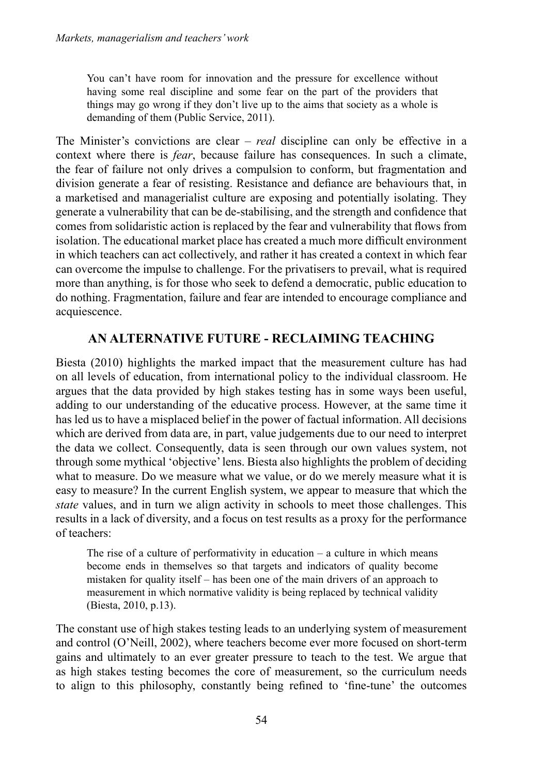You can't have room for innovation and the pressure for excellence without having some real discipline and some fear on the part of the providers that things may go wrong if they don't live up to the aims that society as a whole is demanding of them (Public Service, 2011).

The Minister's convictions are clear – *real* discipline can only be effective in a context where there is *fear*, because failure has consequences. In such a climate, the fear of failure not only drives a compulsion to conform, but fragmentation and division generate a fear of resisting. Resistance and defiance are behaviours that, in a marketised and managerialist culture are exposing and potentially isolating. They generate a vulnerability that can be de-stabilising, and the strength and confidence that comes from solidaristic action is replaced by the fear and vulnerability that flows from isolation. The educational market place has created a much more difficult environment in which teachers can act collectively, and rather it has created a context in which fear can overcome the impulse to challenge. For the privatisers to prevail, what is required more than anything, is for those who seek to defend a democratic, public education to do nothing. Fragmentation, failure and fear are intended to encourage compliance and acquiescence.

## **An alternative future - Reclaiming teaching**

Biesta (2010) highlights the marked impact that the measurement culture has had on all levels of education, from international policy to the individual classroom. He argues that the data provided by high stakes testing has in some ways been useful, adding to our understanding of the educative process. However, at the same time it has led us to have a misplaced belief in the power of factual information. All decisions which are derived from data are, in part, value judgements due to our need to interpret the data we collect. Consequently, data is seen through our own values system, not through some mythical 'objective'lens. Biesta also highlights the problem of deciding what to measure. Do we measure what we value, or do we merely measure what it is easy to measure? In the current English system, we appear to measure that which the *state* values, and in turn we align activity in schools to meet those challenges. This results in a lack of diversity, and a focus on test results as a proxy for the performance of teachers:

The rise of a culture of performativity in education  $-$  a culture in which means become ends in themselves so that targets and indicators of quality become mistaken for quality itself – has been one of the main drivers of an approach to measurement in which normative validity is being replaced by technical validity (Biesta, 2010, p.13).

The constant use of high stakes testing leads to an underlying system of measurement and control (O'Neill, 2002), where teachers become ever more focused on short-term gains and ultimately to an ever greater pressure to teach to the test. We argue that as high stakes testing becomes the core of measurement, so the curriculum needs to align to this philosophy, constantly being refined to 'fine-tune' the outcomes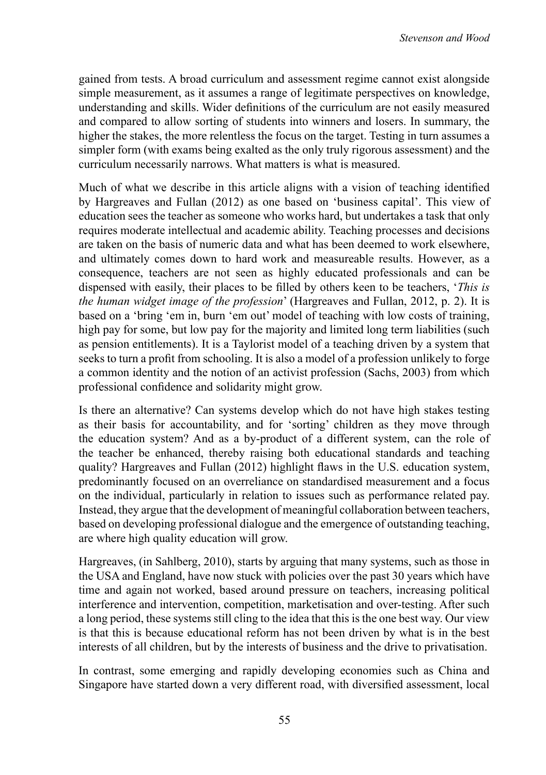gained from tests. A broad curriculum and assessment regime cannot exist alongside simple measurement, as it assumes a range of legitimate perspectives on knowledge, understanding and skills. Wider definitions of the curriculum are not easily measured and compared to allow sorting of students into winners and losers. In summary, the higher the stakes, the more relentless the focus on the target. Testing in turn assumes a simpler form (with exams being exalted as the only truly rigorous assessment) and the curriculum necessarily narrows. What matters is what is measured.

Much of what we describe in this article aligns with a vision of teaching identified by Hargreaves and Fullan (2012) as one based on 'business capital'. This view of education sees the teacher as someone who works hard, but undertakes a task that only requires moderate intellectual and academic ability. Teaching processes and decisions are taken on the basis of numeric data and what has been deemed to work elsewhere, and ultimately comes down to hard work and measureable results. However, as a consequence, teachers are not seen as highly educated professionals and can be dispensed with easily, their places to be filled by others keen to be teachers, '*This is the human widget image of the profession*' (Hargreaves and Fullan, 2012, p. 2). It is based on a 'bring 'em in, burn 'em out' model of teaching with low costs of training, high pay for some, but low pay for the majority and limited long term liabilities (such as pension entitlements). It is a Taylorist model of a teaching driven by a system that seeks to turn a profit from schooling. It is also a model of a profession unlikely to forge a common identity and the notion of an activist profession (Sachs, 2003) from which professional confidence and solidarity might grow.

Is there an alternative? Can systems develop which do not have high stakes testing as their basis for accountability, and for 'sorting' children as they move through the education system? And as a by-product of a different system, can the role of the teacher be enhanced, thereby raising both educational standards and teaching quality? Hargreaves and Fullan (2012) highlight flaws in the U.S. education system, predominantly focused on an overreliance on standardised measurement and a focus on the individual, particularly in relation to issues such as performance related pay. Instead, they argue that the development of meaningful collaboration between teachers, based on developing professional dialogue and the emergence of outstanding teaching, are where high quality education will grow.

Hargreaves, (in Sahlberg, 2010), starts by arguing that many systems, such as those in the USA and England, have now stuck with policies over the past 30 years which have time and again not worked, based around pressure on teachers, increasing political interference and intervention, competition, marketisation and over-testing. After such a long period, these systems still cling to the idea that this is the one best way. Our view is that this is because educational reform has not been driven by what is in the best interests of all children, but by the interests of business and the drive to privatisation.

In contrast, some emerging and rapidly developing economies such as China and Singapore have started down a very different road, with diversified assessment, local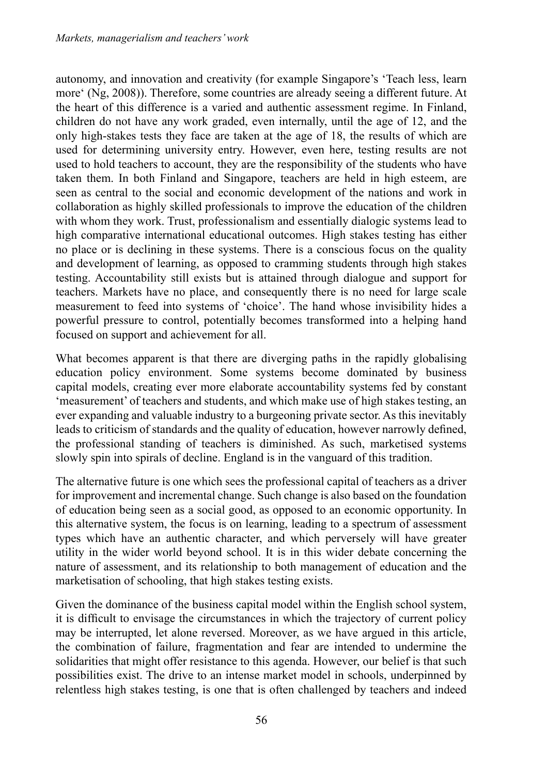autonomy, and innovation and creativity (for example Singapore's 'Teach less, learn more' (Ng, 2008)). Therefore, some countries are already seeing a different future. At the heart of this difference is a varied and authentic assessment regime. In Finland, children do not have any work graded, even internally, until the age of 12, and the only high-stakes tests they face are taken at the age of 18, the results of which are used for determining university entry. However, even here, testing results are not used to hold teachers to account, they are the responsibility of the students who have taken them. In both Finland and Singapore, teachers are held in high esteem, are seen as central to the social and economic development of the nations and work in collaboration as highly skilled professionals to improve the education of the children with whom they work. Trust, professionalism and essentially dialogic systems lead to high comparative international educational outcomes. High stakes testing has either no place or is declining in these systems. There is a conscious focus on the quality and development of learning, as opposed to cramming students through high stakes testing. Accountability still exists but is attained through dialogue and support for teachers. Markets have no place, and consequently there is no need for large scale measurement to feed into systems of 'choice'. The hand whose invisibility hides a powerful pressure to control, potentially becomes transformed into a helping hand focused on support and achievement for all.

What becomes apparent is that there are diverging paths in the rapidly globalising education policy environment. Some systems become dominated by business capital models, creating ever more elaborate accountability systems fed by constant 'measurement' of teachers and students, and which make use of high stakes testing, an ever expanding and valuable industry to a burgeoning private sector. As this inevitably leads to criticism of standards and the quality of education, however narrowly defined, the professional standing of teachers is diminished. As such, marketised systems slowly spin into spirals of decline. England is in the vanguard of this tradition.

The alternative future is one which sees the professional capital of teachers as a driver for improvement and incremental change. Such change is also based on the foundation of education being seen as a social good, as opposed to an economic opportunity. In this alternative system, the focus is on learning, leading to a spectrum of assessment types which have an authentic character, and which perversely will have greater utility in the wider world beyond school. It is in this wider debate concerning the nature of assessment, and its relationship to both management of education and the marketisation of schooling, that high stakes testing exists.

Given the dominance of the business capital model within the English school system, it is difficult to envisage the circumstances in which the trajectory of current policy may be interrupted, let alone reversed. Moreover, as we have argued in this article, the combination of failure, fragmentation and fear are intended to undermine the solidarities that might offer resistance to this agenda. However, our belief is that such possibilities exist. The drive to an intense market model in schools, underpinned by relentless high stakes testing, is one that is often challenged by teachers and indeed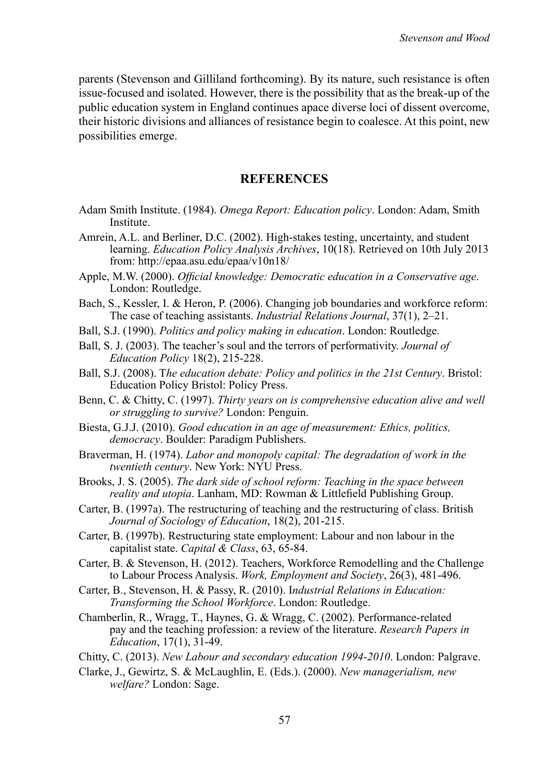parents (Stevenson and Gilliland forthcoming). By its nature, such resistance is often issue-focused and isolated. However, there is the possibility that as the break-up of the public education system in England continues apace diverse loci of dissent overcome, their historic divisions and alliances of resistance begin to coalesce. At this point, new possibilities emerge.

#### **References**

- Adam Smith Institute. (1984). *Omega Report: Education policy*. London: Adam, Smith Institute.
- Amrein, A.L. and Berliner, D.C. (2002). High-stakes testing, uncertainty, and student learning. *Education Policy Analysis Archives*, 10(18). Retrieved on 10th July 2013 from: http://epaa.asu.edu/epaa/v10n18/
- Apple, M.W. (2000). *Official knowledge: Democratic education in a Conservative age*. London: Routledge.
- Bach, S., Kessler, I. & Heron, P. (2006). Changing job boundaries and workforce reform: The case of teaching assistants. *Industrial Relations Journal*, 37(1), 2–21.
- Ball, S.J. (1990). *Politics and policy making in education*. London: Routledge.
- Ball, S. J. (2003). The teacher's soul and the terrors of performativity. *Journal of Education Policy* 18(2), 215-228.
- Ball, S.J. (2008). T*he education debate: Policy and politics in the 21st Century*. Bristol: Education Policy Bristol: Policy Press.
- Benn, C. & Chitty, C. (1997). *Thirty years on is comprehensive education alive and well or struggling to survive?* London: Penguin.
- Biesta, G.J.J. (2010). *Good education in an age of measurement: Ethics, politics, democracy*. Boulder: Paradigm Publishers.
- Braverman, H. (1974). *Labor and monopoly capital: The degradation of work in the twentieth century*. New York: NYU Press.
- Brooks, J. S. (2005). *The dark side of school reform: Teaching in the space between reality and utopia*. Lanham, MD: Rowman & Littlefield Publishing Group.
- Carter, B. (1997a). The restructuring of teaching and the restructuring of class. British *Journal of Sociology of Education*, 18(2), 201-215.
- Carter, B. (1997b). Restructuring state employment: Labour and non labour in the capitalist state. *Capital & Class*, 63, 65-84.
- Carter, B. & Stevenson, H. (2012). Teachers, Workforce Remodelling and the Challenge to Labour Process Analysis. *Work, Employment and Society*, 26(3), 481-496.
- Carter, B., Stevenson, H. & Passy, R. (2010). I*ndustrial Relations in Education: Transforming the School Workforce*. London: Routledge.
- Chamberlin, R., Wragg, T., Haynes, G. & Wragg, C. (2002). Performance-related pay and the teaching profession: a review of the literature. *Research Papers in Education*, 17(1), 31-49.
- Chitty, C. (2013). *New Labour and secondary education 1994-2010*. London: Palgrave.
- Clarke, J., Gewirtz, S. & McLaughlin, E. (Eds.). (2000). *New managerialism, new welfare?* London: Sage.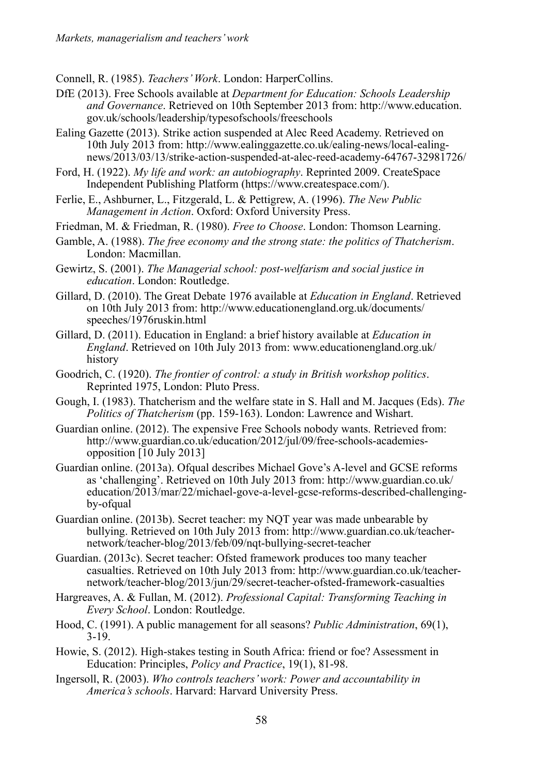Connell, R. (1985). *Teachers' Work*. London: HarperCollins.

- DfE (2013). Free Schools available at *Department for Education: Schools Leadership and Governance*. Retrieved on 10th September 2013 from: http://www.education. gov.uk/schools/leadership/typesofschools/freeschools
- Ealing Gazette (2013). Strike action suspended at Alec Reed Academy. Retrieved on 10th July 2013 from: http://www.ealinggazette.co.uk/ealing-news/local-ealingnews/2013/03/13/strike-action-suspended-at-alec-reed-academy-64767-32981726/
- Ford, H. (1922). *My life and work: an autobiography*. Reprinted 2009. CreateSpace Independent Publishing Platform (https://www.createspace.com/).
- Ferlie, E., Ashburner, L., Fitzgerald, L. & Pettigrew, A. (1996). *The New Public Management in Action*. Oxford: Oxford University Press.
- Friedman, M. & Friedman, R. (1980). *Free to Choose*. London: Thomson Learning.
- Gamble, A. (1988). *The free economy and the strong state: the politics of Thatcherism*. London: Macmillan.
- Gewirtz, S. (2001). *The Managerial school: post-welfarism and social justice in education*. London: Routledge.
- Gillard, D. (2010). The Great Debate 1976 available at *Education in England*. Retrieved on 10th July 2013 from: http://www.educationengland.org.uk/documents/ speeches/1976ruskin.html
- Gillard, D. (2011). Education in England: a brief history available at *Education in England*. Retrieved on 10th July 2013 from: www.educationengland.org.uk/ history
- Goodrich, C. (1920). *The frontier of control: a study in British workshop politics*. Reprinted 1975, London: Pluto Press.
- Gough, I. (1983). Thatcherism and the welfare state in S. Hall and M. Jacques (Eds). *The Politics of Thatcherism* (pp. 159-163). London: Lawrence and Wishart.
- Guardian online. (2012). The expensive Free Schools nobody wants. Retrieved from: http://www.guardian.co.uk/education/2012/jul/09/free-schools-academiesopposition [10 July 2013]
- Guardian online. (2013a). Ofqual describes Michael Gove's A-level and GCSE reforms as 'challenging'. Retrieved on 10th July 2013 from: http://www.guardian.co.uk/ education/2013/mar/22/michael-gove-a-level-gcse-reforms-described-challengingby-ofqual
- Guardian online. (2013b). Secret teacher: my NQT year was made unbearable by bullying. Retrieved on 10th July 2013 from: http://www.guardian.co.uk/teachernetwork/teacher-blog/2013/feb/09/nqt-bullying-secret-teacher
- Guardian. (2013c). Secret teacher: Ofsted framework produces too many teacher casualties. Retrieved on 10th July 2013 from: http://www.guardian.co.uk/teachernetwork/teacher-blog/2013/jun/29/secret-teacher-ofsted-framework-casualties
- Hargreaves, A. & Fullan, M. (2012). *Professional Capital: Transforming Teaching in Every School*. London: Routledge.
- Hood, C. (1991). A public management for all seasons? *Public Administration*, 69(1), 3-19.
- Howie, S. (2012). High-stakes testing in South Africa: friend or foe? Assessment in Education: Principles, *Policy and Practice*, 19(1), 81-98.
- Ingersoll, R. (2003). *Who controls teachers' work: Power and accountability in America's schools*. Harvard: Harvard University Press.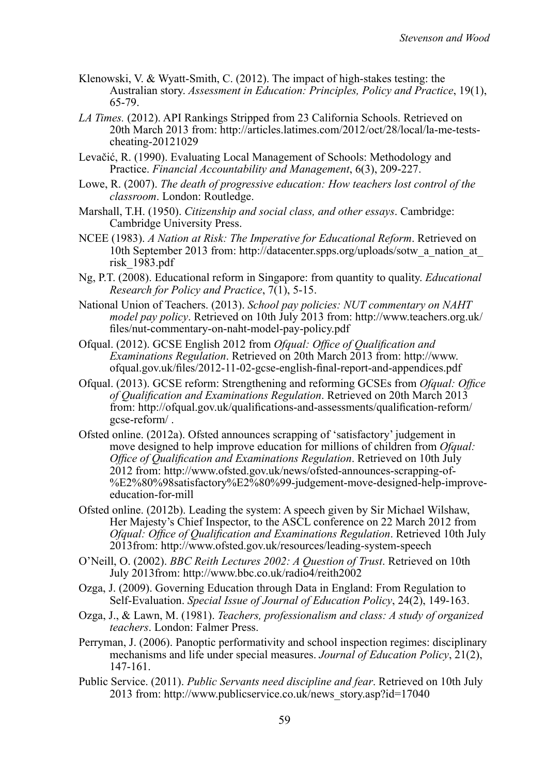- Klenowski, V. & Wyatt-Smith, C. (2012). The impact of high-stakes testing: the Australian story. *Assessment in Education: Principles, Policy and Practice*, 19(1), 65-79.
- *LA Times.* (2012). API Rankings Stripped from 23 California Schools. Retrieved on 20th March 2013 from: http://articles.latimes.com/2012/oct/28/local/la-me-testscheating-20121029
- Levačić, R. (1990). Evaluating Local Management of Schools: Methodology and Practice. *Financial Accountability and Management*, 6(3), 209-227.
- Lowe, R. (2007). *The death of progressive education: How teachers lost control of the classroom*. London: Routledge.
- Marshall, T.H. (1950). *Citizenship and social class, and other essays*. Cambridge: Cambridge University Press.
- NCEE (1983). *A Nation at Risk: The Imperative for Educational Reform*. Retrieved on 10th September 2013 from: http://datacenter.spps.org/uploads/sotw\_a\_nation\_at\_ risk\_1983.pdf
- Ng, P.T. (2008). Educational reform in Singapore: from quantity to quality. *Educational Research for Policy and Practice*, 7(1), 5-15.
- National Union of Teachers. (2013). *School pay policies: NUT commentary on NAHT model pay policy*. Retrieved on 10th July 2013 from: http://www.teachers.org.uk/ files/nut-commentary-on-naht-model-pay-policy.pdf
- Ofqual. (2012). GCSE English 2012 from *Ofqual: Office of Qualification and Examinations Regulation*. Retrieved on 20th March 2013 from: http://www. ofqual.gov.uk/files/2012-11-02-gcse-english-final-report-and-appendices.pdf
- Ofqual. (2013). GCSE reform: Strengthening and reforming GCSEs from *Ofqual: Office of Qualification and Examinations Regulation*. Retrieved on 20th March 2013 from: http://ofqual.gov.uk/qualifications-and-assessments/qualification-reform/ gcse-reform/ .
- Ofsted online. (2012a). Ofsted announces scrapping of 'satisfactory' judgement in move designed to help improve education for millions of children from *Ofqual*: *Office of Qualification and Examinations Regulation*. Retrieved on 10th July 2012 from: http://www.ofsted.gov.uk/news/ofsted-announces-scrapping-of- %E2%80%98satisfactory%E2%80%99-judgement-move-designed-help-improveeducation-for-mill
- Ofsted online. (2012b). Leading the system: A speech given by Sir Michael Wilshaw, Her Majesty's Chief Inspector, to the ASCL conference on 22 March 2012 from *Ofqual: Office of Qualification and Examinations Regulation*. Retrieved 10th July 2013from: http://www.ofsted.gov.uk/resources/leading-system-speech
- O'Neill, O. (2002). *BBC Reith Lectures 2002: A Question of Trust*. Retrieved on 10th July 2013from: http://www.bbc.co.uk/radio4/reith2002
- Ozga, J. (2009). Governing Education through Data in England: From Regulation to Self-Evaluation. *Special Issue of Journal of Education Policy*, 24(2), 149-163.
- Ozga, J., & Lawn, M. (1981). *Teachers, professionalism and class: A study of organized teachers*. London: Falmer Press.
- Perryman, J. (2006). Panoptic performativity and school inspection regimes: disciplinary mechanisms and life under special measures. *Journal of Education Policy*, 21(2), 147-161.
- Public Service. (2011). *Public Servants need discipline and fear*. Retrieved on 10th July 2013 from: http://www.publicservice.co.uk/news\_story.asp?id=17040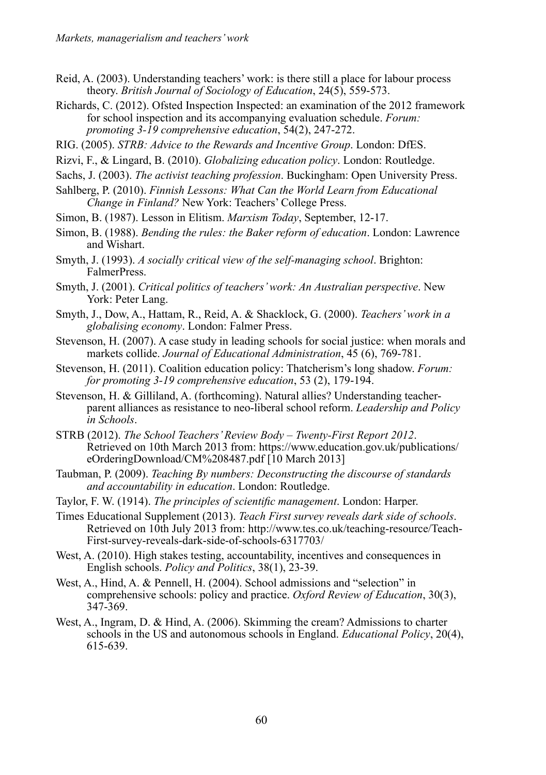- Reid, A. (2003). Understanding teachers' work: is there still a place for labour process theory. *British Journal of Sociology of Education*, 24(5), 559-573.
- Richards, C. (2012). Ofsted Inspection Inspected: an examination of the 2012 framework for school inspection and its accompanying evaluation schedule. *Forum: promoting 3-19 comprehensive education*, 54(2), 247-272.
- RIG. (2005). *STRB: Advice to the Rewards and Incentive Group*. London: DfES.
- Rizvi, F., & Lingard, B. (2010). *Globalizing education policy*. London: Routledge.
- Sachs, J. (2003). *The activist teaching profession*. Buckingham: Open University Press.
- Sahlberg, P. (2010). *Finnish Lessons: What Can the World Learn from Educational Change in Finland?* New York: Teachers' College Press.
- Simon, B. (1987). Lesson in Elitism. *Marxism Today*, September, 12-17.
- Simon, B. (1988). *Bending the rules: the Baker reform of education*. London: Lawrence and Wishart.
- Smyth, J. (1993). *A socially critical view of the self-managing school*. Brighton: FalmerPress.
- Smyth, J. (2001). *Critical politics of teachers' work: An Australian perspective*. New York: Peter Lang.
- Smyth, J., Dow, A., Hattam, R., Reid, A. & Shacklock, G. (2000). *Teachers' work in a globalising economy*. London: Falmer Press.
- Stevenson, H. (2007). A case study in leading schools for social justice: when morals and markets collide. *Journal of Educational Administration*, 45 (6), 769-781.
- Stevenson, H. (2011). Coalition education policy: Thatcherism's long shadow. *Forum: for promoting 3-19 comprehensive education*, 53 (2), 179-194.
- Stevenson, H. & Gilliland, A. (forthcoming). Natural allies? Understanding teacherparent alliances as resistance to neo-liberal school reform. *Leadership and Policy in Schools*.
- STRB (2012). *The School Teachers' Review Body Twenty-First Report 2012*. Retrieved on 10th March 2013 from: https://www.education.gov.uk/publications/ eOrderingDownload/CM%208487.pdf [10 March 2013]
- Taubman, P. (2009). *Teaching By numbers: Deconstructing the discourse of standards and accountability in education*. London: Routledge.
- Taylor, F. W. (1914). *The principles of scientific management*. London: Harper.
- Times Educational Supplement (2013). *Teach First survey reveals dark side of schools*. Retrieved on 10th July 2013 from: http://www.tes.co.uk/teaching-resource/Teach-First-survey-reveals-dark-side-of-schools-6317703/
- West, A. (2010). High stakes testing, accountability, incentives and consequences in English schools. *Policy and Politics*, 38(1), 23-39.
- West, A., Hind, A. & Pennell, H. (2004). School admissions and "selection" in comprehensive schools: policy and practice. *Oxford Review of Education*, 30(3), 347-369.
- West, A., Ingram, D. & Hind, A. (2006). Skimming the cream? Admissions to charter schools in the US and autonomous schools in England. *Educational Policy*, 20(4), 615-639.